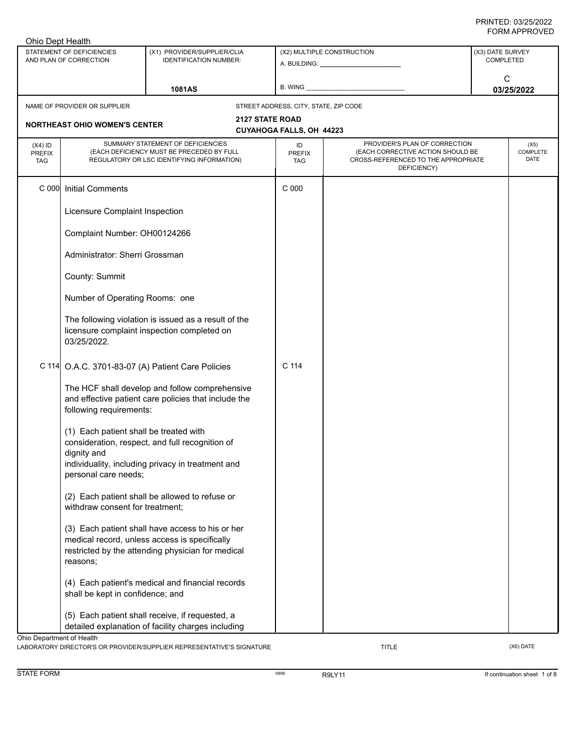| Ohio Dept Health                         |                                                       |                                                                                                                              |                                       |                                                                                                                          |                                      |  |
|------------------------------------------|-------------------------------------------------------|------------------------------------------------------------------------------------------------------------------------------|---------------------------------------|--------------------------------------------------------------------------------------------------------------------------|--------------------------------------|--|
|                                          | STATEMENT OF DEFICIENCIES<br>AND PLAN OF CORRECTION   | (X1) PROVIDER/SUPPLIER/CLIA<br><b>IDENTIFICATION NUMBER:</b>                                                                 |                                       | (X2) MULTIPLE CONSTRUCTION                                                                                               | (X3) DATE SURVEY<br><b>COMPLETED</b> |  |
|                                          |                                                       | 1081AS                                                                                                                       |                                       |                                                                                                                          | C<br>03/25/2022                      |  |
|                                          | NAME OF PROVIDER OR SUPPLIER                          |                                                                                                                              | STREET ADDRESS, CITY, STATE, ZIP CODE |                                                                                                                          |                                      |  |
|                                          |                                                       |                                                                                                                              | <b>2127 STATE ROAD</b>                |                                                                                                                          |                                      |  |
|                                          | <b>NORTHEAST OHIO WOMEN'S CENTER</b>                  |                                                                                                                              | CUYAHOGA FALLS, OH 44223              |                                                                                                                          |                                      |  |
| $(X4)$ ID<br><b>PREFIX</b><br><b>TAG</b> |                                                       | SUMMARY STATEMENT OF DEFICIENCIES<br>(EACH DEFICIENCY MUST BE PRECEDED BY FULL<br>REGULATORY OR LSC IDENTIFYING INFORMATION) | ID<br><b>PREFIX</b><br><b>TAG</b>     | PROVIDER'S PLAN OF CORRECTION<br>(EACH CORRECTIVE ACTION SHOULD BE<br>CROSS-REFERENCED TO THE APPROPRIATE<br>DEFICIENCY) | (X5)<br>COMPLETE<br>DATE             |  |
| C 000                                    | <b>Initial Comments</b>                               |                                                                                                                              | C 000                                 |                                                                                                                          |                                      |  |
|                                          | Licensure Complaint Inspection                        |                                                                                                                              |                                       |                                                                                                                          |                                      |  |
|                                          | Complaint Number: OH00124266                          |                                                                                                                              |                                       |                                                                                                                          |                                      |  |
|                                          | Administrator: Sherri Grossman                        |                                                                                                                              |                                       |                                                                                                                          |                                      |  |
|                                          | County: Summit                                        |                                                                                                                              |                                       |                                                                                                                          |                                      |  |
|                                          | Number of Operating Rooms: one                        |                                                                                                                              |                                       |                                                                                                                          |                                      |  |
|                                          | 03/25/2022.                                           | The following violation is issued as a result of the<br>licensure complaint inspection completed on                          |                                       |                                                                                                                          |                                      |  |
|                                          |                                                       | C 114 O.A.C. 3701-83-07 (A) Patient Care Policies                                                                            | C <sub>114</sub>                      |                                                                                                                          |                                      |  |
|                                          | following requirements:                               | The HCF shall develop and follow comprehensive<br>and effective patient care policies that include the                       |                                       |                                                                                                                          |                                      |  |
|                                          | (1) Each patient shall be treated with<br>dignity and | consideration, respect, and full recognition of<br>individuality, including privacy in treatment and                         |                                       |                                                                                                                          |                                      |  |
|                                          | personal care needs;                                  |                                                                                                                              |                                       |                                                                                                                          |                                      |  |
|                                          | withdraw consent for treatment;                       | (2) Each patient shall be allowed to refuse or                                                                               |                                       |                                                                                                                          |                                      |  |
|                                          |                                                       | (3) Each patient shall have access to his or her<br>medical record, unless access is specifically                            |                                       |                                                                                                                          |                                      |  |
|                                          | reasons;                                              | restricted by the attending physician for medical                                                                            |                                       |                                                                                                                          |                                      |  |
|                                          | shall be kept in confidence; and                      | (4) Each patient's medical and financial records                                                                             |                                       |                                                                                                                          |                                      |  |
|                                          |                                                       | (5) Each patient shall receive, if requested, a<br>detailed explanation of facility charges including                        |                                       |                                                                                                                          |                                      |  |
| Ohio Department of Health                |                                                       | LABORATORY DIRECTOR'S OR PROVIDER/SUPPLIER REPRESENTATIVE'S SIGNATURE                                                        |                                       | <b>TITLE</b>                                                                                                             | $(X6)$ DATE                          |  |

STATE FORM **EXAMPLE 1 OF A RESOLUTE A RESOLUTE A** STATE FORM **If continuation sheet 1 of 8**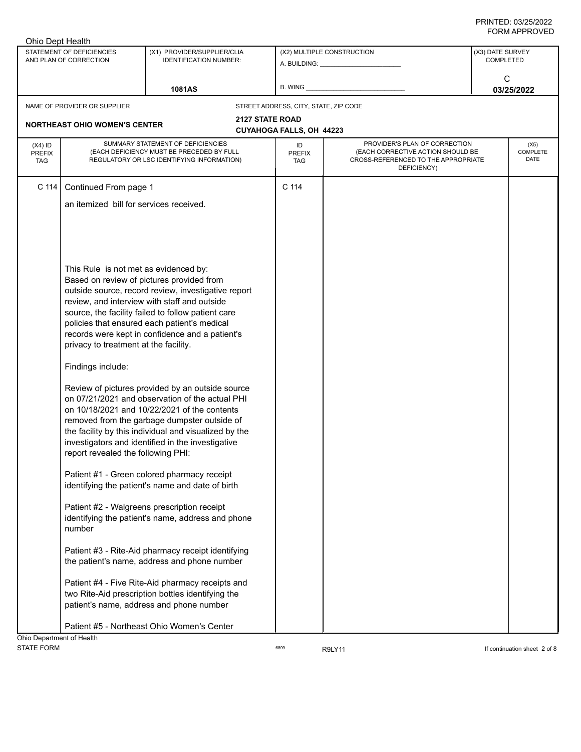| Ohio Dept Health                         |                                                     |                                                                                                                              |                                       |                                                                                                                          |                                      |
|------------------------------------------|-----------------------------------------------------|------------------------------------------------------------------------------------------------------------------------------|---------------------------------------|--------------------------------------------------------------------------------------------------------------------------|--------------------------------------|
|                                          | STATEMENT OF DEFICIENCIES<br>AND PLAN OF CORRECTION | (X1) PROVIDER/SUPPLIER/CLIA<br><b>IDENTIFICATION NUMBER:</b>                                                                 |                                       | (X2) MULTIPLE CONSTRUCTION<br>A. BUILDING: _________________                                                             | (X3) DATE SURVEY<br><b>COMPLETED</b> |
|                                          |                                                     |                                                                                                                              |                                       |                                                                                                                          | C                                    |
|                                          |                                                     | <b>1081AS</b>                                                                                                                | B. WING                               |                                                                                                                          | 03/25/2022                           |
|                                          | NAME OF PROVIDER OR SUPPLIER                        |                                                                                                                              | STREET ADDRESS, CITY, STATE, ZIP CODE |                                                                                                                          |                                      |
|                                          |                                                     | <b>2127 STATE ROAD</b>                                                                                                       |                                       |                                                                                                                          |                                      |
|                                          | <b>NORTHEAST OHIO WOMEN'S CENTER</b>                |                                                                                                                              | CUYAHOGA FALLS, OH 44223              |                                                                                                                          |                                      |
| $(X4)$ ID<br><b>PREFIX</b><br><b>TAG</b> |                                                     | SUMMARY STATEMENT OF DEFICIENCIES<br>(EACH DEFICIENCY MUST BE PRECEDED BY FULL<br>REGULATORY OR LSC IDENTIFYING INFORMATION) | ID<br>PREFIX<br><b>TAG</b>            | PROVIDER'S PLAN OF CORRECTION<br>(EACH CORRECTIVE ACTION SHOULD BE<br>CROSS-REFERENCED TO THE APPROPRIATE<br>DEFICIENCY) | (X5)<br>COMPLETE<br>DATE             |
| C 114                                    | Continued From page 1                               |                                                                                                                              | C 114                                 |                                                                                                                          |                                      |
|                                          | an itemized bill for services received.             |                                                                                                                              |                                       |                                                                                                                          |                                      |
|                                          |                                                     |                                                                                                                              |                                       |                                                                                                                          |                                      |
|                                          |                                                     |                                                                                                                              |                                       |                                                                                                                          |                                      |
|                                          |                                                     |                                                                                                                              |                                       |                                                                                                                          |                                      |
|                                          |                                                     |                                                                                                                              |                                       |                                                                                                                          |                                      |
|                                          | This Rule is not met as evidenced by:               |                                                                                                                              |                                       |                                                                                                                          |                                      |
|                                          |                                                     | Based on review of pictures provided from                                                                                    |                                       |                                                                                                                          |                                      |
|                                          |                                                     | outside source, record review, investigative report                                                                          |                                       |                                                                                                                          |                                      |
|                                          |                                                     | review, and interview with staff and outside                                                                                 |                                       |                                                                                                                          |                                      |
|                                          |                                                     | source, the facility failed to follow patient care<br>policies that ensured each patient's medical                           |                                       |                                                                                                                          |                                      |
|                                          |                                                     | records were kept in confidence and a patient's                                                                              |                                       |                                                                                                                          |                                      |
|                                          | privacy to treatment at the facility.               |                                                                                                                              |                                       |                                                                                                                          |                                      |
|                                          | Findings include:                                   |                                                                                                                              |                                       |                                                                                                                          |                                      |
|                                          |                                                     | Review of pictures provided by an outside source                                                                             |                                       |                                                                                                                          |                                      |
|                                          |                                                     | on 07/21/2021 and observation of the actual PHI                                                                              |                                       |                                                                                                                          |                                      |
|                                          |                                                     | on 10/18/2021 and 10/22/2021 of the contents                                                                                 |                                       |                                                                                                                          |                                      |
|                                          |                                                     | removed from the garbage dumpster outside of                                                                                 |                                       |                                                                                                                          |                                      |
|                                          |                                                     | the facility by this individual and visualized by the<br>investigators and identified in the investigative                   |                                       |                                                                                                                          |                                      |
|                                          | report revealed the following PHI:                  |                                                                                                                              |                                       |                                                                                                                          |                                      |
|                                          |                                                     |                                                                                                                              |                                       |                                                                                                                          |                                      |
|                                          |                                                     | Patient #1 - Green colored pharmacy receipt                                                                                  |                                       |                                                                                                                          |                                      |
|                                          |                                                     | identifying the patient's name and date of birth                                                                             |                                       |                                                                                                                          |                                      |
|                                          |                                                     | Patient #2 - Walgreens prescription receipt                                                                                  |                                       |                                                                                                                          |                                      |
|                                          |                                                     | identifying the patient's name, address and phone                                                                            |                                       |                                                                                                                          |                                      |
|                                          | number                                              |                                                                                                                              |                                       |                                                                                                                          |                                      |
|                                          |                                                     | Patient #3 - Rite-Aid pharmacy receipt identifying                                                                           |                                       |                                                                                                                          |                                      |
|                                          |                                                     | the patient's name, address and phone number                                                                                 |                                       |                                                                                                                          |                                      |
|                                          |                                                     |                                                                                                                              |                                       |                                                                                                                          |                                      |
|                                          |                                                     | Patient #4 - Five Rite-Aid pharmacy receipts and                                                                             |                                       |                                                                                                                          |                                      |
|                                          |                                                     | two Rite-Aid prescription bottles identifying the                                                                            |                                       |                                                                                                                          |                                      |
|                                          |                                                     | patient's name, address and phone number                                                                                     |                                       |                                                                                                                          |                                      |
|                                          |                                                     | Patient #5 - Northeast Ohio Women's Center                                                                                   |                                       |                                                                                                                          |                                      |
| Ohio Department of Health                |                                                     |                                                                                                                              |                                       |                                                                                                                          |                                      |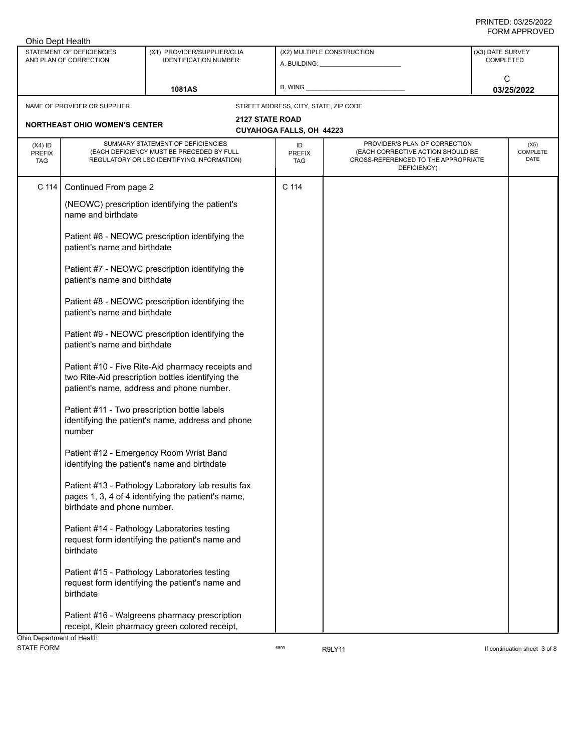| Ohio Dept Health                         |                                                     |                                                                                                                                                     |                                       |                                                                                                                          |                                      |
|------------------------------------------|-----------------------------------------------------|-----------------------------------------------------------------------------------------------------------------------------------------------------|---------------------------------------|--------------------------------------------------------------------------------------------------------------------------|--------------------------------------|
|                                          | STATEMENT OF DEFICIENCIES<br>AND PLAN OF CORRECTION | (X1) PROVIDER/SUPPLIER/CLIA<br><b>IDENTIFICATION NUMBER:</b>                                                                                        |                                       | (X2) MULTIPLE CONSTRUCTION                                                                                               | (X3) DATE SURVEY<br><b>COMPLETED</b> |
|                                          |                                                     | <b>1081AS</b>                                                                                                                                       | B. WING                               |                                                                                                                          | C<br>03/25/2022                      |
|                                          | NAME OF PROVIDER OR SUPPLIER                        |                                                                                                                                                     | STREET ADDRESS, CITY, STATE, ZIP CODE |                                                                                                                          |                                      |
|                                          |                                                     | <b>2127 STATE ROAD</b>                                                                                                                              |                                       |                                                                                                                          |                                      |
|                                          | <b>NORTHEAST OHIO WOMEN'S CENTER</b>                |                                                                                                                                                     | CUYAHOGA FALLS, OH 44223              |                                                                                                                          |                                      |
| $(X4)$ ID<br><b>PREFIX</b><br><b>TAG</b> |                                                     | SUMMARY STATEMENT OF DEFICIENCIES<br>(EACH DEFICIENCY MUST BE PRECEDED BY FULL<br>REGULATORY OR LSC IDENTIFYING INFORMATION)                        | ID<br>PREFIX<br><b>TAG</b>            | PROVIDER'S PLAN OF CORRECTION<br>(EACH CORRECTIVE ACTION SHOULD BE<br>CROSS-REFERENCED TO THE APPROPRIATE<br>DEFICIENCY) | (X5)<br>COMPLETE<br>DATE             |
| C 114                                    | Continued From page 2                               |                                                                                                                                                     | C 114                                 |                                                                                                                          |                                      |
|                                          | name and birthdate                                  | (NEOWC) prescription identifying the patient's                                                                                                      |                                       |                                                                                                                          |                                      |
|                                          | patient's name and birthdate                        | Patient #6 - NEOWC prescription identifying the                                                                                                     |                                       |                                                                                                                          |                                      |
|                                          | patient's name and birthdate                        | Patient #7 - NEOWC prescription identifying the                                                                                                     |                                       |                                                                                                                          |                                      |
|                                          | patient's name and birthdate                        | Patient #8 - NEOWC prescription identifying the                                                                                                     |                                       |                                                                                                                          |                                      |
|                                          | patient's name and birthdate                        | Patient #9 - NEOWC prescription identifying the                                                                                                     |                                       |                                                                                                                          |                                      |
|                                          |                                                     | Patient #10 - Five Rite-Aid pharmacy receipts and<br>two Rite-Aid prescription bottles identifying the<br>patient's name, address and phone number. |                                       |                                                                                                                          |                                      |
|                                          | number                                              | Patient #11 - Two prescription bottle labels<br>identifying the patient's name, address and phone                                                   |                                       |                                                                                                                          |                                      |
|                                          |                                                     | Patient #12 - Emergency Room Wrist Band<br>identifying the patient's name and birthdate                                                             |                                       |                                                                                                                          |                                      |
|                                          | birthdate and phone number.                         | Patient #13 - Pathology Laboratory lab results fax<br>pages 1, 3, 4 of 4 identifying the patient's name,                                            |                                       |                                                                                                                          |                                      |
|                                          | birthdate                                           | Patient #14 - Pathology Laboratories testing<br>request form identifying the patient's name and                                                     |                                       |                                                                                                                          |                                      |
|                                          | birthdate                                           | Patient #15 - Pathology Laboratories testing<br>request form identifying the patient's name and                                                     |                                       |                                                                                                                          |                                      |
|                                          |                                                     | Patient #16 - Walgreens pharmacy prescription<br>receipt, Klein pharmacy green colored receipt,                                                     |                                       |                                                                                                                          |                                      |
| Ohio Department of Health                |                                                     |                                                                                                                                                     |                                       |                                                                                                                          |                                      |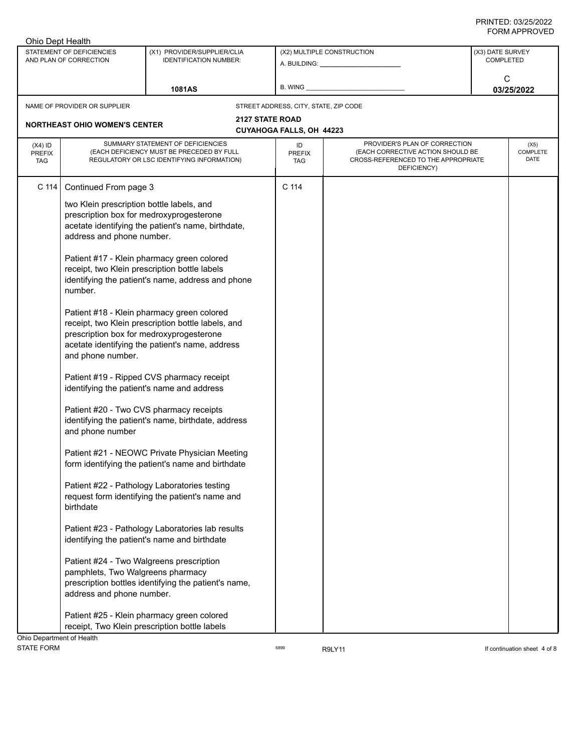| (X3) DATE SURVEY<br>STATEMENT OF DEFICIENCIES<br>(X1) PROVIDER/SUPPLIER/CLIA<br>(X2) MULTIPLE CONSTRUCTION<br>AND PLAN OF CORRECTION<br><b>IDENTIFICATION NUMBER:</b><br><b>COMPLETED</b><br>C<br>B. WING<br>03/25/2022<br><b>1081AS</b><br>NAME OF PROVIDER OR SUPPLIER<br>STREET ADDRESS, CITY, STATE, ZIP CODE<br><b>2127 STATE ROAD</b><br><b>NORTHEAST OHIO WOMEN'S CENTER</b><br>CUYAHOGA FALLS, OH 44223<br>SUMMARY STATEMENT OF DEFICIENCIES<br>PROVIDER'S PLAN OF CORRECTION<br>$(X4)$ ID<br>ID<br>(EACH DEFICIENCY MUST BE PRECEDED BY FULL<br>(EACH CORRECTIVE ACTION SHOULD BE<br><b>PREFIX</b><br>PREFIX<br>REGULATORY OR LSC IDENTIFYING INFORMATION)<br>CROSS-REFERENCED TO THE APPROPRIATE<br><b>TAG</b><br><b>TAG</b><br>DEFICIENCY)<br>C 114<br>C <sub>114</sub><br>Continued From page 3<br>two Klein prescription bottle labels, and<br>prescription box for medroxyprogesterone<br>acetate identifying the patient's name, birthdate,<br>address and phone number.<br>Patient #17 - Klein pharmacy green colored<br>receipt, two Klein prescription bottle labels<br>identifying the patient's name, address and phone<br>number.<br>Patient #18 - Klein pharmacy green colored<br>receipt, two Klein prescription bottle labels, and<br>prescription box for medroxyprogesterone<br>acetate identifying the patient's name, address<br>and phone number.<br>Patient #19 - Ripped CVS pharmacy receipt<br>identifying the patient's name and address<br>Patient #20 - Two CVS pharmacy receipts<br>identifying the patient's name, birthdate, address<br>and phone number<br>Patient #21 - NEOWC Private Physician Meeting<br>form identifying the patient's name and birthdate<br>Patient #22 - Pathology Laboratories testing<br>request form identifying the patient's name and<br>birthdate<br>Patient #23 - Pathology Laboratories lab results<br>identifying the patient's name and birthdate | Ohio Dept Health |  |  |                          |
|--------------------------------------------------------------------------------------------------------------------------------------------------------------------------------------------------------------------------------------------------------------------------------------------------------------------------------------------------------------------------------------------------------------------------------------------------------------------------------------------------------------------------------------------------------------------------------------------------------------------------------------------------------------------------------------------------------------------------------------------------------------------------------------------------------------------------------------------------------------------------------------------------------------------------------------------------------------------------------------------------------------------------------------------------------------------------------------------------------------------------------------------------------------------------------------------------------------------------------------------------------------------------------------------------------------------------------------------------------------------------------------------------------------------------------------------------------------------------------------------------------------------------------------------------------------------------------------------------------------------------------------------------------------------------------------------------------------------------------------------------------------------------------------------------------------------------------------------------------------------------------------------------------------------------|------------------|--|--|--------------------------|
|                                                                                                                                                                                                                                                                                                                                                                                                                                                                                                                                                                                                                                                                                                                                                                                                                                                                                                                                                                                                                                                                                                                                                                                                                                                                                                                                                                                                                                                                                                                                                                                                                                                                                                                                                                                                                                                                                                                          |                  |  |  |                          |
|                                                                                                                                                                                                                                                                                                                                                                                                                                                                                                                                                                                                                                                                                                                                                                                                                                                                                                                                                                                                                                                                                                                                                                                                                                                                                                                                                                                                                                                                                                                                                                                                                                                                                                                                                                                                                                                                                                                          |                  |  |  |                          |
|                                                                                                                                                                                                                                                                                                                                                                                                                                                                                                                                                                                                                                                                                                                                                                                                                                                                                                                                                                                                                                                                                                                                                                                                                                                                                                                                                                                                                                                                                                                                                                                                                                                                                                                                                                                                                                                                                                                          |                  |  |  |                          |
|                                                                                                                                                                                                                                                                                                                                                                                                                                                                                                                                                                                                                                                                                                                                                                                                                                                                                                                                                                                                                                                                                                                                                                                                                                                                                                                                                                                                                                                                                                                                                                                                                                                                                                                                                                                                                                                                                                                          |                  |  |  |                          |
|                                                                                                                                                                                                                                                                                                                                                                                                                                                                                                                                                                                                                                                                                                                                                                                                                                                                                                                                                                                                                                                                                                                                                                                                                                                                                                                                                                                                                                                                                                                                                                                                                                                                                                                                                                                                                                                                                                                          |                  |  |  |                          |
|                                                                                                                                                                                                                                                                                                                                                                                                                                                                                                                                                                                                                                                                                                                                                                                                                                                                                                                                                                                                                                                                                                                                                                                                                                                                                                                                                                                                                                                                                                                                                                                                                                                                                                                                                                                                                                                                                                                          |                  |  |  | (X5)<br>COMPLETE<br>DATE |
|                                                                                                                                                                                                                                                                                                                                                                                                                                                                                                                                                                                                                                                                                                                                                                                                                                                                                                                                                                                                                                                                                                                                                                                                                                                                                                                                                                                                                                                                                                                                                                                                                                                                                                                                                                                                                                                                                                                          |                  |  |  |                          |
|                                                                                                                                                                                                                                                                                                                                                                                                                                                                                                                                                                                                                                                                                                                                                                                                                                                                                                                                                                                                                                                                                                                                                                                                                                                                                                                                                                                                                                                                                                                                                                                                                                                                                                                                                                                                                                                                                                                          |                  |  |  |                          |
|                                                                                                                                                                                                                                                                                                                                                                                                                                                                                                                                                                                                                                                                                                                                                                                                                                                                                                                                                                                                                                                                                                                                                                                                                                                                                                                                                                                                                                                                                                                                                                                                                                                                                                                                                                                                                                                                                                                          |                  |  |  |                          |
|                                                                                                                                                                                                                                                                                                                                                                                                                                                                                                                                                                                                                                                                                                                                                                                                                                                                                                                                                                                                                                                                                                                                                                                                                                                                                                                                                                                                                                                                                                                                                                                                                                                                                                                                                                                                                                                                                                                          |                  |  |  |                          |
|                                                                                                                                                                                                                                                                                                                                                                                                                                                                                                                                                                                                                                                                                                                                                                                                                                                                                                                                                                                                                                                                                                                                                                                                                                                                                                                                                                                                                                                                                                                                                                                                                                                                                                                                                                                                                                                                                                                          |                  |  |  |                          |
|                                                                                                                                                                                                                                                                                                                                                                                                                                                                                                                                                                                                                                                                                                                                                                                                                                                                                                                                                                                                                                                                                                                                                                                                                                                                                                                                                                                                                                                                                                                                                                                                                                                                                                                                                                                                                                                                                                                          |                  |  |  |                          |
|                                                                                                                                                                                                                                                                                                                                                                                                                                                                                                                                                                                                                                                                                                                                                                                                                                                                                                                                                                                                                                                                                                                                                                                                                                                                                                                                                                                                                                                                                                                                                                                                                                                                                                                                                                                                                                                                                                                          |                  |  |  |                          |
|                                                                                                                                                                                                                                                                                                                                                                                                                                                                                                                                                                                                                                                                                                                                                                                                                                                                                                                                                                                                                                                                                                                                                                                                                                                                                                                                                                                                                                                                                                                                                                                                                                                                                                                                                                                                                                                                                                                          |                  |  |  |                          |
|                                                                                                                                                                                                                                                                                                                                                                                                                                                                                                                                                                                                                                                                                                                                                                                                                                                                                                                                                                                                                                                                                                                                                                                                                                                                                                                                                                                                                                                                                                                                                                                                                                                                                                                                                                                                                                                                                                                          |                  |  |  |                          |
| Patient #24 - Two Walgreens prescription<br>pamphlets, Two Walgreens pharmacy<br>prescription bottles identifying the patient's name,<br>address and phone number.                                                                                                                                                                                                                                                                                                                                                                                                                                                                                                                                                                                                                                                                                                                                                                                                                                                                                                                                                                                                                                                                                                                                                                                                                                                                                                                                                                                                                                                                                                                                                                                                                                                                                                                                                       |                  |  |  |                          |
| Patient #25 - Klein pharmacy green colored<br>receipt, Two Klein prescription bottle labels<br>Ohio Department of Health                                                                                                                                                                                                                                                                                                                                                                                                                                                                                                                                                                                                                                                                                                                                                                                                                                                                                                                                                                                                                                                                                                                                                                                                                                                                                                                                                                                                                                                                                                                                                                                                                                                                                                                                                                                                 |                  |  |  |                          |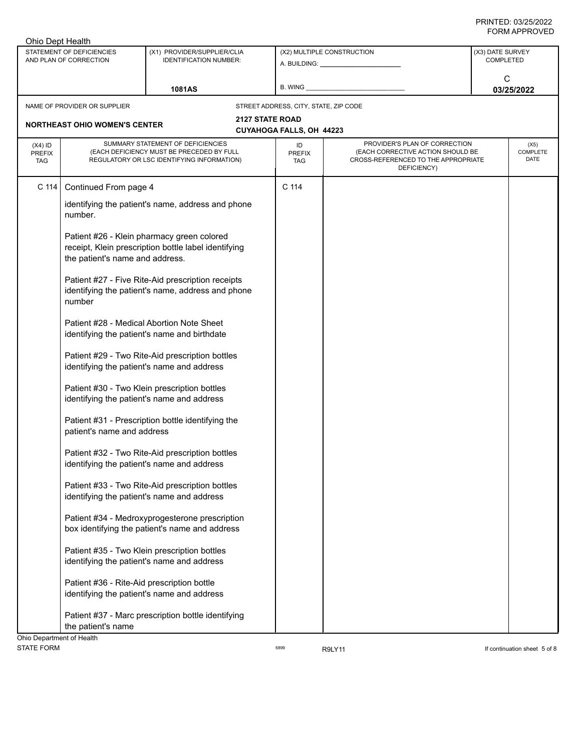| Ohio Dept Health                         |                                                     |                                                                                                                              |                                       |                                                                                                                          |                                      |  |
|------------------------------------------|-----------------------------------------------------|------------------------------------------------------------------------------------------------------------------------------|---------------------------------------|--------------------------------------------------------------------------------------------------------------------------|--------------------------------------|--|
|                                          | STATEMENT OF DEFICIENCIES<br>AND PLAN OF CORRECTION | (X1) PROVIDER/SUPPLIER/CLIA<br><b>IDENTIFICATION NUMBER:</b>                                                                 |                                       | (X2) MULTIPLE CONSTRUCTION                                                                                               | (X3) DATE SURVEY<br><b>COMPLETED</b> |  |
|                                          |                                                     | <b>1081AS</b>                                                                                                                | B. WING                               |                                                                                                                          | C<br>03/25/2022                      |  |
|                                          | NAME OF PROVIDER OR SUPPLIER                        |                                                                                                                              | STREET ADDRESS, CITY, STATE, ZIP CODE |                                                                                                                          |                                      |  |
|                                          |                                                     | <b>2127 STATE ROAD</b>                                                                                                       |                                       |                                                                                                                          |                                      |  |
|                                          | <b>NORTHEAST OHIO WOMEN'S CENTER</b>                |                                                                                                                              | CUYAHOGA FALLS, OH 44223              |                                                                                                                          |                                      |  |
| $(X4)$ ID<br><b>PREFIX</b><br><b>TAG</b> |                                                     | SUMMARY STATEMENT OF DEFICIENCIES<br>(EACH DEFICIENCY MUST BE PRECEDED BY FULL<br>REGULATORY OR LSC IDENTIFYING INFORMATION) | ID<br>PREFIX<br><b>TAG</b>            | PROVIDER'S PLAN OF CORRECTION<br>(EACH CORRECTIVE ACTION SHOULD BE<br>CROSS-REFERENCED TO THE APPROPRIATE<br>DEFICIENCY) | (X5)<br>COMPLETE<br>DATE             |  |
| C 114                                    | Continued From page 4                               |                                                                                                                              | C 114                                 |                                                                                                                          |                                      |  |
|                                          | number.                                             | identifying the patient's name, address and phone                                                                            |                                       |                                                                                                                          |                                      |  |
|                                          | the patient's name and address.                     | Patient #26 - Klein pharmacy green colored<br>receipt, Klein prescription bottle label identifying                           |                                       |                                                                                                                          |                                      |  |
|                                          | number                                              | Patient #27 - Five Rite-Aid prescription receipts<br>identifying the patient's name, address and phone                       |                                       |                                                                                                                          |                                      |  |
|                                          |                                                     | Patient #28 - Medical Abortion Note Sheet<br>identifying the patient's name and birthdate                                    |                                       |                                                                                                                          |                                      |  |
|                                          |                                                     | Patient #29 - Two Rite-Aid prescription bottles<br>identifying the patient's name and address                                |                                       |                                                                                                                          |                                      |  |
|                                          |                                                     | Patient #30 - Two Klein prescription bottles<br>identifying the patient's name and address                                   |                                       |                                                                                                                          |                                      |  |
|                                          | patient's name and address                          | Patient #31 - Prescription bottle identifying the                                                                            |                                       |                                                                                                                          |                                      |  |
|                                          |                                                     | Patient #32 - Two Rite-Aid prescription bottles<br>identifying the patient's name and address                                |                                       |                                                                                                                          |                                      |  |
|                                          |                                                     | Patient #33 - Two Rite-Aid prescription bottles<br>identifying the patient's name and address                                |                                       |                                                                                                                          |                                      |  |
|                                          |                                                     | Patient #34 - Medroxyprogesterone prescription<br>box identifying the patient's name and address                             |                                       |                                                                                                                          |                                      |  |
|                                          |                                                     | Patient #35 - Two Klein prescription bottles<br>identifying the patient's name and address                                   |                                       |                                                                                                                          |                                      |  |
|                                          | Patient #36 - Rite-Aid prescription bottle          | identifying the patient's name and address                                                                                   |                                       |                                                                                                                          |                                      |  |
| Ohio Department of Health                | the patient's name                                  | Patient #37 - Marc prescription bottle identifying                                                                           |                                       |                                                                                                                          |                                      |  |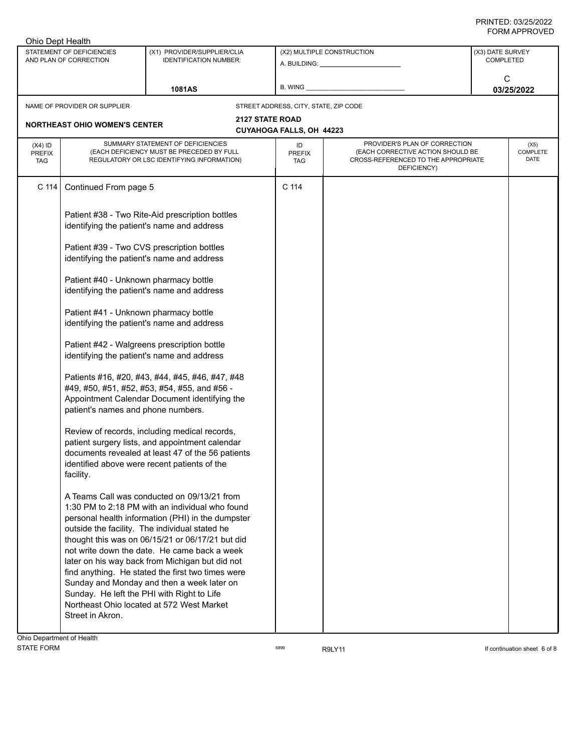| Ohio Dept Health                         |                                                                                     |                                                                                                                                                                                                                                                                                                                                                                                                                                                                                                              |                                       |                                                                                                                          |                                      |
|------------------------------------------|-------------------------------------------------------------------------------------|--------------------------------------------------------------------------------------------------------------------------------------------------------------------------------------------------------------------------------------------------------------------------------------------------------------------------------------------------------------------------------------------------------------------------------------------------------------------------------------------------------------|---------------------------------------|--------------------------------------------------------------------------------------------------------------------------|--------------------------------------|
|                                          | STATEMENT OF DEFICIENCIES<br>AND PLAN OF CORRECTION                                 | (X1) PROVIDER/SUPPLIER/CLIA<br><b>IDENTIFICATION NUMBER:</b>                                                                                                                                                                                                                                                                                                                                                                                                                                                 |                                       | (X2) MULTIPLE CONSTRUCTION                                                                                               | (X3) DATE SURVEY<br><b>COMPLETED</b> |
|                                          |                                                                                     | 1081AS                                                                                                                                                                                                                                                                                                                                                                                                                                                                                                       | B. WING                               |                                                                                                                          | C<br>03/25/2022                      |
|                                          | NAME OF PROVIDER OR SUPPLIER                                                        |                                                                                                                                                                                                                                                                                                                                                                                                                                                                                                              | STREET ADDRESS, CITY, STATE, ZIP CODE |                                                                                                                          |                                      |
|                                          | <b>NORTHEAST OHIO WOMEN'S CENTER</b>                                                | <b>2127 STATE ROAD</b>                                                                                                                                                                                                                                                                                                                                                                                                                                                                                       | <b>CUYAHOGA FALLS, OH 44223</b>       |                                                                                                                          |                                      |
| $(X4)$ ID<br><b>PREFIX</b><br><b>TAG</b> |                                                                                     | SUMMARY STATEMENT OF DEFICIENCIES<br>(EACH DEFICIENCY MUST BE PRECEDED BY FULL<br>REGULATORY OR LSC IDENTIFYING INFORMATION)                                                                                                                                                                                                                                                                                                                                                                                 | ID<br><b>PREFIX</b><br><b>TAG</b>     | PROVIDER'S PLAN OF CORRECTION<br>(EACH CORRECTIVE ACTION SHOULD BE<br>CROSS-REFERENCED TO THE APPROPRIATE<br>DEFICIENCY) | (X5)<br><b>COMPLETE</b><br>DATE      |
| C 114                                    | Continued From page 5                                                               |                                                                                                                                                                                                                                                                                                                                                                                                                                                                                                              | C 114                                 |                                                                                                                          |                                      |
|                                          | identifying the patient's name and address                                          | Patient #38 - Two Rite-Aid prescription bottles                                                                                                                                                                                                                                                                                                                                                                                                                                                              |                                       |                                                                                                                          |                                      |
|                                          | identifying the patient's name and address                                          | Patient #39 - Two CVS prescription bottles                                                                                                                                                                                                                                                                                                                                                                                                                                                                   |                                       |                                                                                                                          |                                      |
|                                          | Patient #40 - Unknown pharmacy bottle<br>identifying the patient's name and address |                                                                                                                                                                                                                                                                                                                                                                                                                                                                                                              |                                       |                                                                                                                          |                                      |
|                                          | Patient #41 - Unknown pharmacy bottle<br>identifying the patient's name and address |                                                                                                                                                                                                                                                                                                                                                                                                                                                                                                              |                                       |                                                                                                                          |                                      |
|                                          | identifying the patient's name and address                                          | Patient #42 - Walgreens prescription bottle                                                                                                                                                                                                                                                                                                                                                                                                                                                                  |                                       |                                                                                                                          |                                      |
|                                          | patient's names and phone numbers.                                                  | Patients #16, #20, #43, #44, #45, #46, #47, #48<br>#49, #50, #51, #52, #53, #54, #55, and #56 -<br>Appointment Calendar Document identifying the                                                                                                                                                                                                                                                                                                                                                             |                                       |                                                                                                                          |                                      |
|                                          | facility.                                                                           | Review of records, including medical records,<br>patient surgery lists, and appointment calendar<br>documents revealed at least 47 of the 56 patients<br>identified above were recent patients of the                                                                                                                                                                                                                                                                                                        |                                       |                                                                                                                          |                                      |
|                                          | Sunday. He left the PHI with Right to Life                                          | A Teams Call was conducted on 09/13/21 from<br>1:30 PM to 2:18 PM with an individual who found<br>personal health information (PHI) in the dumpster<br>outside the facility. The individual stated he<br>thought this was on 06/15/21 or 06/17/21 but did<br>not write down the date. He came back a week<br>later on his way back from Michigan but did not<br>find anything. He stated the first two times were<br>Sunday and Monday and then a week later on<br>Northeast Ohio located at 572 West Market |                                       |                                                                                                                          |                                      |
|                                          | Street in Akron.                                                                    |                                                                                                                                                                                                                                                                                                                                                                                                                                                                                                              |                                       |                                                                                                                          |                                      |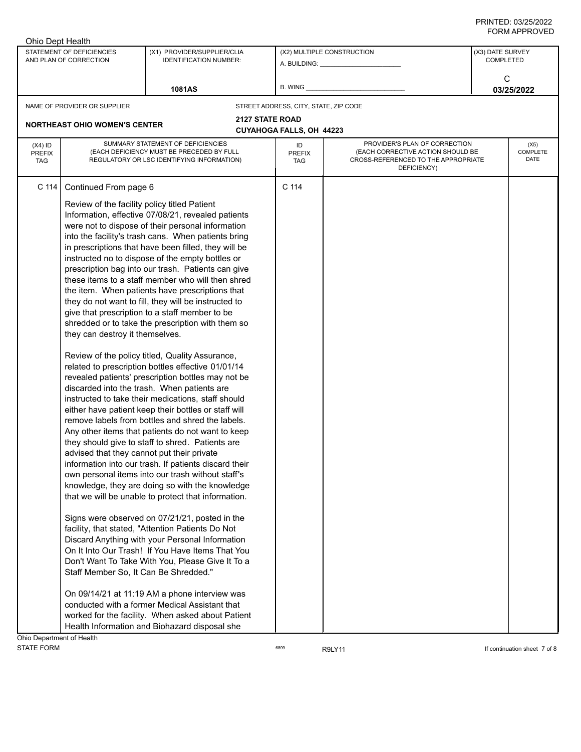| Ohio Dept Health                         |                                                     |                                                                                                                              |                                       |                                                                                                                          |                                      |
|------------------------------------------|-----------------------------------------------------|------------------------------------------------------------------------------------------------------------------------------|---------------------------------------|--------------------------------------------------------------------------------------------------------------------------|--------------------------------------|
|                                          | STATEMENT OF DEFICIENCIES<br>AND PLAN OF CORRECTION | (X1) PROVIDER/SUPPLIER/CLIA<br><b>IDENTIFICATION NUMBER:</b>                                                                 |                                       | (X2) MULTIPLE CONSTRUCTION                                                                                               | (X3) DATE SURVEY<br><b>COMPLETED</b> |
|                                          |                                                     |                                                                                                                              |                                       |                                                                                                                          | C                                    |
|                                          |                                                     | <b>1081AS</b>                                                                                                                | B. WING                               |                                                                                                                          | 03/25/2022                           |
|                                          | NAME OF PROVIDER OR SUPPLIER                        |                                                                                                                              | STREET ADDRESS, CITY, STATE, ZIP CODE |                                                                                                                          |                                      |
|                                          | <b>NORTHEAST OHIO WOMEN'S CENTER</b>                |                                                                                                                              | <b>2127 STATE ROAD</b>                |                                                                                                                          |                                      |
|                                          |                                                     |                                                                                                                              | <b>CUYAHOGA FALLS, OH 44223</b>       |                                                                                                                          |                                      |
| $(X4)$ ID<br><b>PREFIX</b><br><b>TAG</b> |                                                     | SUMMARY STATEMENT OF DEFICIENCIES<br>(EACH DEFICIENCY MUST BE PRECEDED BY FULL<br>REGULATORY OR LSC IDENTIFYING INFORMATION) | ID<br>PREFIX<br><b>TAG</b>            | PROVIDER'S PLAN OF CORRECTION<br>(EACH CORRECTIVE ACTION SHOULD BE<br>CROSS-REFERENCED TO THE APPROPRIATE<br>DEFICIENCY) | (X5)<br>COMPLETE<br>DATE             |
| C 114                                    | Continued From page 6                               |                                                                                                                              | C 114                                 |                                                                                                                          |                                      |
|                                          | Review of the facility policy titled Patient        |                                                                                                                              |                                       |                                                                                                                          |                                      |
|                                          |                                                     | Information, effective 07/08/21, revealed patients                                                                           |                                       |                                                                                                                          |                                      |
|                                          |                                                     | were not to dispose of their personal information                                                                            |                                       |                                                                                                                          |                                      |
|                                          |                                                     | into the facility's trash cans. When patients bring                                                                          |                                       |                                                                                                                          |                                      |
|                                          |                                                     | in prescriptions that have been filled, they will be                                                                         |                                       |                                                                                                                          |                                      |
|                                          |                                                     | instructed no to dispose of the empty bottles or                                                                             |                                       |                                                                                                                          |                                      |
|                                          |                                                     | prescription bag into our trash. Patients can give                                                                           |                                       |                                                                                                                          |                                      |
|                                          |                                                     | these items to a staff member who will then shred                                                                            |                                       |                                                                                                                          |                                      |
|                                          |                                                     | the item. When patients have prescriptions that                                                                              |                                       |                                                                                                                          |                                      |
|                                          |                                                     | they do not want to fill, they will be instructed to                                                                         |                                       |                                                                                                                          |                                      |
|                                          |                                                     | give that prescription to a staff member to be                                                                               |                                       |                                                                                                                          |                                      |
|                                          |                                                     | shredded or to take the prescription with them so                                                                            |                                       |                                                                                                                          |                                      |
|                                          | they can destroy it themselves.                     |                                                                                                                              |                                       |                                                                                                                          |                                      |
|                                          |                                                     | Review of the policy titled, Quality Assurance,                                                                              |                                       |                                                                                                                          |                                      |
|                                          |                                                     | related to prescription bottles effective 01/01/14                                                                           |                                       |                                                                                                                          |                                      |
|                                          |                                                     | revealed patients' prescription bottles may not be                                                                           |                                       |                                                                                                                          |                                      |
|                                          |                                                     | discarded into the trash. When patients are                                                                                  |                                       |                                                                                                                          |                                      |
|                                          |                                                     | instructed to take their medications, staff should                                                                           |                                       |                                                                                                                          |                                      |
|                                          |                                                     | either have patient keep their bottles or staff will                                                                         |                                       |                                                                                                                          |                                      |
|                                          |                                                     | remove labels from bottles and shred the labels.                                                                             |                                       |                                                                                                                          |                                      |
|                                          |                                                     | Any other items that patients do not want to keep<br>they should give to staff to shred. Patients are                        |                                       |                                                                                                                          |                                      |
|                                          | advised that they cannot put their private          |                                                                                                                              |                                       |                                                                                                                          |                                      |
|                                          |                                                     | information into our trash. If patients discard their                                                                        |                                       |                                                                                                                          |                                      |
|                                          |                                                     | own personal items into our trash without staff's                                                                            |                                       |                                                                                                                          |                                      |
|                                          |                                                     | knowledge, they are doing so with the knowledge                                                                              |                                       |                                                                                                                          |                                      |
|                                          |                                                     | that we will be unable to protect that information.                                                                          |                                       |                                                                                                                          |                                      |
|                                          |                                                     | Signs were observed on 07/21/21, posted in the                                                                               |                                       |                                                                                                                          |                                      |
|                                          |                                                     | facility, that stated, "Attention Patients Do Not                                                                            |                                       |                                                                                                                          |                                      |
|                                          |                                                     | Discard Anything with your Personal Information                                                                              |                                       |                                                                                                                          |                                      |
|                                          |                                                     | On It Into Our Trash! If You Have Items That You                                                                             |                                       |                                                                                                                          |                                      |
|                                          |                                                     | Don't Want To Take With You, Please Give It To a                                                                             |                                       |                                                                                                                          |                                      |
|                                          | Staff Member So, It Can Be Shredded."               |                                                                                                                              |                                       |                                                                                                                          |                                      |
|                                          |                                                     | On 09/14/21 at 11:19 AM a phone interview was                                                                                |                                       |                                                                                                                          |                                      |
|                                          |                                                     | conducted with a former Medical Assistant that                                                                               |                                       |                                                                                                                          |                                      |
|                                          |                                                     | worked for the facility. When asked about Patient                                                                            |                                       |                                                                                                                          |                                      |
|                                          |                                                     | Health Information and Biohazard disposal she                                                                                |                                       |                                                                                                                          |                                      |
| Ohio Department of Health                |                                                     |                                                                                                                              |                                       |                                                                                                                          |                                      |